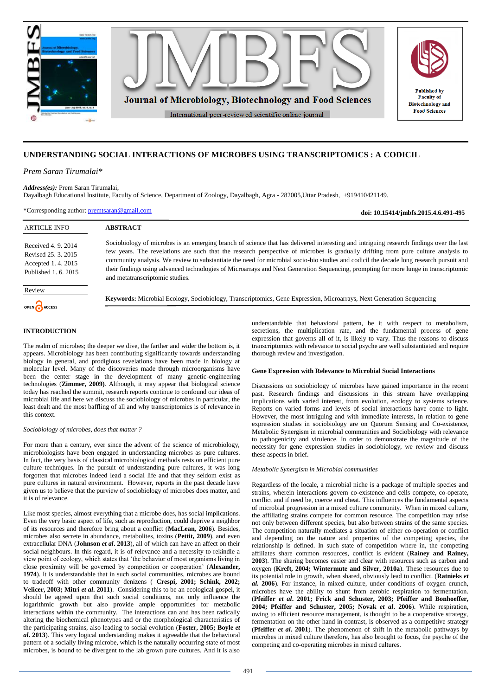

# **UNDERSTANDING SOCIAL INTERACTIONS OF MICROBES USING TRANSCRIPTOMICS : A CODICIL**

*Prem Saran Tirumalai\**

*Address(es):* Prem Saran Tirumalai,

Dayalbagh Educational Institute, Faculty of Science, Department of Zoology, Dayalbagh, Agra - 282005,Uttar Pradesh, +919410421149.

\*Corresponding author: [premtsaran@gmail.com](mailto:premtsaran@gmail.com)

**doi: 10.15414/jmbfs.2015.4.6.491-495**

| <b>ARTICLE INFO</b>                                                                   | <b>ABSTRACT</b>                                                                                                                                                                                                                                                                                                                                                                                                                                                                                                                                                                                    |
|---------------------------------------------------------------------------------------|----------------------------------------------------------------------------------------------------------------------------------------------------------------------------------------------------------------------------------------------------------------------------------------------------------------------------------------------------------------------------------------------------------------------------------------------------------------------------------------------------------------------------------------------------------------------------------------------------|
| Received 4.9.2014<br>Revised 25, 3, 2015<br>Accepted 1.4.2015<br>Published 1, 6, 2015 | Sociobiology of microbes is an emerging branch of science that has delivered interesting and intriguing research findings over the last<br>few years. The revelations are such that the research perspective of microbes is gradually drifting from pure culture analysis to<br>community analysis. We review to substantiate the need for microbial socio-bio studies and codicil the decade long research pursuit and<br>their findings using advanced technologies of Microarrays and Next Generation Sequencing, prompting for more lunge in transcriptomic<br>and metatranscriptomic studies. |
| Review                                                                                |                                                                                                                                                                                                                                                                                                                                                                                                                                                                                                                                                                                                    |
| OPEN CACCESS                                                                          | <b>Keywords:</b> Microbial Ecology, Sociobiology, Transcriptomics, Gene Expression, Microarrays, Next Generation Sequencing                                                                                                                                                                                                                                                                                                                                                                                                                                                                        |
|                                                                                       | understandable that behavioral pattern, be it with respect to metabolism,                                                                                                                                                                                                                                                                                                                                                                                                                                                                                                                          |

# **INTRODUCTION**

The realm of microbes; the deeper we dive, the farther and wider the bottom is, it appears. Microbiology has been contributing significantly towards understanding biology in general, and prodigious revelations have been made in biology at molecular level. Many of the discoveries made through microorganisms have been the center stage in the development of many genetic-engineering technologies (**Zimmer, 2009)**. Although, it may appear that biological science today has reached the summit, research reports continue to confound our ideas of microbial life and here we discuss the sociobiology of microbes in particular, the least dealt and the most baffling of all and why transcriptomics is of relevance in this context.

#### *Sociobiology of microbes, does that matter ?*

For more than a century, ever since the advent of the science of microbiology, microbiologists have been engaged in understanding microbes as pure cultures. In fact, the very basis of classical microbiological methods rests on efficient pure culture techniques. In the pursuit of understanding pure cultures, it was long forgotten that microbes indeed lead a social life and that they seldom exist as pure cultures in natural environment. However, reports in the past decade have given us to believe that the purview of sociobiology of microbes does matter, and it is of relevance.

Like most species, almost everything that a microbe does, has social implications. Even the very basic aspect of life, such as reproduction, could deprive a neighbor of its resources and therefore bring about a conflict (**MacLean, 2006**). Besides, microbes also secrete in abundance, metabolites, toxins (**Pettit, 2009**), and even extracellular DNA (**Johnson** *et al***. 2013**), all of which can have an affect on their social neighbours. In this regard, it is of relevance and a necessity to rekindle a view point of ecology, which states that 'the behavior of most organisms living in close proximity will be governed by competition or cooperation' (**Alexander, 1974**). It is understandable that in such social communities, microbes are bound to tradeoff with other community denizens ( **Crespi, 2001; Schink, 2002; Velicer, 2003; Mitri** *et al.* **2011**). Considering this to be an ecological gospel, it should be agreed upon that such social conditions, not only influence the logarithmic growth but also provide ample opportunities for metabolic interactions within the community. The interactions can and has been radically altering the biochemical phenotypes and or the morphological characteristics of the participating strains, also leading to social evolution (**Foster, 2005; Boyle** *et al***. 2013**). This very logical understanding makes it agreeable that the behavioral pattern of a socially living microbe, which is the naturally occurring state of most microbes, is bound to be divergent to the lab grown pure cultures. And it is also

secretions, the multiplication rate, and the fundamental process of gene expression that governs all of it, is likely to vary. Thus the reasons to discuss transcriptomics with relevance to social psyche are well substantiated and require thorough review and investigation.

### **Gene Expression with Relevance to Microbial Social Interactions**

Discussions on sociobiology of microbes have gained importance in the recent past. Research findings and discussions in this stream have overlapping implications with varied interest, from evolution, ecology to systems science. Reports on varied forms and levels of social interactions have come to light. However, the most intriguing and with immediate interests, in relation to gene expression studies in sociobiology are on Quorum Sensing and Co-existence, Metabolic Synergism in microbial communities and Sociobiology with relevance to pathogenicity and virulence. In order to demonstrate the magnitude of the necessity for gene expression studies in sociobiology, we review and discuss these aspects in brief.

#### *Metabolic Synergism in Microbial communities*

Regardless of the locale, a microbial niche is a package of multiple species and strains, wherein interactions govern co-existence and cells compete, co-operate, conflict and if need be, coerce and cheat. This influences the fundamental aspects of microbial progression in a mixed culture community. When in mixed culture, the affiliating strains compete for common resource. The competition may arise not only between different species, but also between strains of the same species. The competition naturally mediates a situation of either co-operation or conflict and depending on the nature and properties of the competing species, the relationship is defined. In such state of competition where in, the competing affiliates share common resources, conflict is evident (**Rainey and Rainey, 2003**). The sharing becomes easier and clear with resources such as carbon and oxygen (**Kreft, 2004; Wintermute and Silver, 2010a**). These resources due to its potential role in growth, when shared, obviously lead to conflict. (**Ratnieks** *et al.* **2006**). For instance, in mixed culture, under conditions of oxygen crunch, microbes have the ability to shunt from aerobic respiration to fermentation. (**Pfeiffer** *et al***. 2001; Frick and Schuster, 2003; Pfeiffer and Bonhoeffer, 2004; Pfeiffer and Schuster, 2005; Novak** *et al***. 2006**). While respiration, owing to efficient resource management, is thought to be a cooperative strategy, fermentation on the other hand in contrast, is observed as a competitive strategy (**Pfeiffer** *et al***. 2001**). The phenomenon of shift in the metabolic pathways by microbes in mixed culture therefore, has also brought to focus, the psyche of the competing and co-operating microbes in mixed cultures.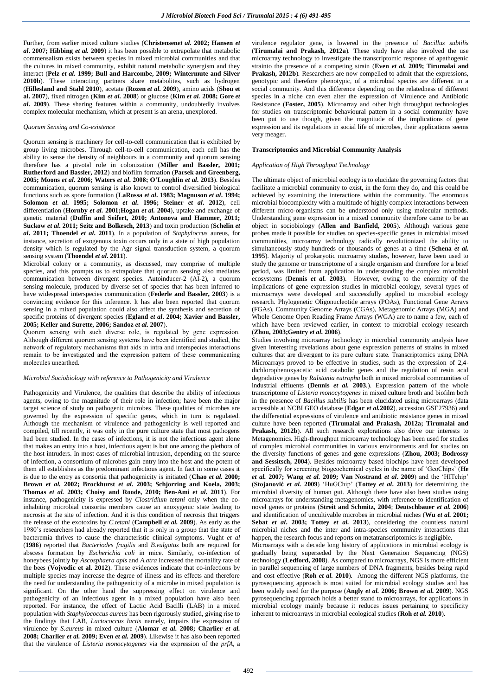Further, from earlier mixed culture studies (**Christensen***et al.* **2002; Hansen** *et al***. 2007; Hibbing** *et al.* **2009**) it has been possible to extrapolate that metabolic commensalism exists between species in mixed microbial communities and that the cultures in mixed community, exhibit natural metabolic synergism and they interact (**Pelz** *et al.* **1999; Bull and Harcombe, 2009; Wintermute and Silver 2010b**). These interacting partners share metabolites, such as hydrogen (**Hillesland and Stahl 2010**), acetate (**Rozen** *et al.* **2009**), amino acids (**Shou et al. 2007**), fixed nitrogen (**Kim** *et al.* **2008**) or glucose (**Kim** *et al.* **2008; Gore** *et al.* **2009**). These sharing features within a community, undoubtedly involves complex molecular mechanism, which at present is an arena, unexplored.

#### *Quorum Sensing and Co-existence*

Quorum sensing is machinery for cell-to-cell communication that is exhibited by group living microbes. Through cell-to-cell communication, each cell has the ability to sense the density of neighbours in a community and quorum sensing therefore has a pivotal role in colonization (**Miller and Bassler, 2001; Rutherford and Bassler, 2012**) and biofilm formation (**Parsek and Greenberg, 2005; Moons** *et al***. 2006; Waters** *et al***. 2008; O'Loughlin** *et al***. 2013**). Besides communication, quorum sensing is also known to control diversified biological functions such as spore formation (**LaRossa** *et al***. 1983; Magnuson** *et al***. 1994; Solomon** *et al***. 1995; Solomon** *et al***. 1996; Steiner** *et al***. 2012**), cell differentiation (**Hornby** *et al.* **2001;Hogan** *et al.* **2004**), uptake and exchange of genetic material (**Duffin and Seifert, 2010; Antonova and Hammer, 2011; Suckow** *et al***. 2011; Seitz and Bolkesch, 2013**) and toxin production (**Schelin** *et al***. 2011; Thoendel** *et al***. 2011**). In a population of *Staphyloccus* aureus, for instance, secretion of exogenous toxin occurs only in a state of high population density which is regulated by the Agr signal transduction system, a quorum sensing system (**Thoendel** *et al***. 2011**).

Microbial colony or a community, as discussed, may comprise of multiple species, and this prompts us to extrapolate that quorum sensing also mediates communication between divergent species. Autoinducer-2 (AI-2), a quorum sensing molecule, produced by diverse set of species that has been inferred to have widespread interspecies communication (**Federle and Bassler, 2003**) is a convincing evidence for this inference. It has also been reported that quorum sensing in a mixed population could also affect the synthesis and secretion of specific proteins of divergent species (**Egland** *et al***. 2004; Xavier and Bassler, 2005; Keller and Surette, 2006; Sandoz** *et al.* **2007**).

Quorum sensing with such diverse role, is regulated by gene expression. Although different quorum sensing systems have been identified and studied, the network of regulatory mechanisms that aids in intra and interspecies interactions remain to be investigated and the expression pattern of these communicating molecules unearthed.

#### *Microbial Sociobiology with reference to Pathogenicity and Virulence*

Pathogenicity and Virulence, the qualities that describe the ability of infectious agents, owing to the magnitude of their role in infection; have been the major target science of study on pathogenic microbes. These qualities of microbes are governed by the expression of specific genes, which in turn is regulated. Although the mechanism of virulence and pathogenicity is well reported and compiled, till recently, it was only in the pure culture state that most pathogens had been studied. In the cases of infections, it is not the infectious agent alone that makes an entry into a host, infectious agent is but one among the plethora of the host intruders. In most cases of microbial intrusion, depending on the source of infection, a consortium of microbes gain entry into the host and the potent of them all establishes as the predominant infectious agent. In fact in some cases it is due to the entry as consortia that pathogenicity is initiated (**Chao** *et al.* **2000; Brown** *et al.* **2002; Brockhurst** *et al.* **2003; Schjorring and Koela, 2003; Thomas** *et al.* **2003; Choisy and Roode, 2010; Ben-Ami** *et al***. 2011**). For instance, pathogenicity is expressed by *Clostridium tetani* only when the coinhabiting microbial consortia members cause an anoxygenic state leading to necrosis at the site of infection. And it is this condition of necrosis that triggers the release of the exotoxins by *C.tetani* (**Campbell** *et al.* **2009**). As early as the 1980's researchers had already reported that it is only in a group that the state of bacteremia thrives to cause the characteristic clinical symptoms. Vught *et al* (**1986**) reported that *Bacteriodes fragilis* and *B.vulgatus* both are required for abscess formation by *Escherichia coli* in mice. Similarly, co-infection of honeybees jointly by *Ascosphaera apis* and *A.atra* increased the mortaility rate of the bees (**Vojvodic et al. 2012**). These evidences indicate that co-infections by multiple species may increase the degree of illness and its effects and therefore the need for understanding the pathogenicity of a microbe in mixed population is significant. On the other hand the suppressing effect on virulence and pathogenicity of an infectious agent in a mixed population have also been reported. For instance, the effect of Lactic Acid Bacilli (LAB) in a mixed population with *Staphylococcus aureus* has been rigorously studied, giving rise to the findings that LAB, *Lactococcus lactis* namely, impairs the expression of virulence by *S.aureus* in mixed culture (**Alomar** *et al.* **2008; Charlier** *et al.*  **2008; Charlier** *et al.* **2009; Even** *et al.* **2009**). Likewise it has also been reported that the virulence of *Listeria monocytogenes* via the expression of the *prfA*, a

virulence regulator gene, is lowered in the presence of *Bacillus subtilis* (**Tirumalai and Prakash, 2012a**)*.* These study have also involved the use microarray technology to investigate the transcriptomic response of apathogenic strainto the presence of a competing strain (**Even** *et al.* **2009; Tirumalai and Prakash, 2012b**)*.* Researchers are now compelled to admit that the expressions, genotypic and therefore phenotypic, of a microbial species are different in a social community. And this difference depending on the relatedness of different species in a niche can even alter the expression of Virulence and Antibiotic Resistance (**Foster, 2005**). Microarray and other high throughput technologies for studies on transcriptomic behavioural pattern in a social community have been put to use though, given the magnitude of the implications of gene expression and its regulations in social life of microbes, their applications seems very meager.

#### **Transcriptomics and Microbial Community Analysis**

## *Application of High Throughput Technology*

The ultimate object of microbial ecology is to elucidate the governing factors that facilitate a microbial community to exist, in the form they do, and this could be achieved by examining the interactions within the community. The enormous microbial biocomplexity with a multitude of highly complex interactions between different micro-organisms can be understood only using molecular methods. Understanding gene expression in a mixed community therefore came to be an object in sociobiology (**Allen and Banfield, 2005**). Although various gene probes made it possible for studies on species-specific genes in microbial mixed communities, microarray technology radically revolutionized the ability to simultaneously study hundreds or thousands of genes at a time (**Schena** *et al.* **1995**). Majority of prokaryotic microarray studies, however, have been used to study the genome or transcriptome of a single organism and therefore for a brief period, was limited from application in understanding the complex microbial ecosystems (**Dennis** *et al.* **2003**). However, owing to the enormity of the implications of gene expression studies in microbial ecology, several types of microarrays were developed and successfully applied to microbial ecology research. Phylogenetic Oligonucleotide arrays (POAs), Functional Gene Arrays (FGAs), Community Genome Arrays (CGAs), Metagenomic Arrays (MGA) and Whole Genome Open Reading Frame Arrays (WGA) are to name a few, each of which have been reviewed earlier, in context to microbial ecology research (**Zhou, 2003;Gentry** *et al.* **2006**).

Studies involving microarray technology in microbial community analysis have given interesting revelations about gene expression patterns of strains in mixed cultures that are divergent to its pure culture state. Transcriptomics using DNA Microarrays proved to be effective in studies, such as the expression of 2,4 dichlorophenoxyacetic acid catabolic genes and the regulation of resin acid degradative genes by *Ralstonia eutropha* both in mixed microbial communities of industrial effluents (**Dennis** *et al.* **2003***.*). Expression pattern of the whole transcriptome of *Listeria monocytogenes* in mixed culture broth and biofilm both in the presence of *Bacillus subtilis* has been elucidated using microarrays (data accessible at NCBI GEO database (**Edgar** *et al.***2002**), accession GSE27936) and the differential expressions of virulence and antibiotic resistance genes in mixed culture have been reported (**Tirumalai and Prakash, 2012a; Tirumalai and Prakash, 2012b**). All such research explorations also drive our interests to Metagenomics. High-throughput microarray technology has been used for studies of complex microbial communities in various environments and for studies on the diversity functions of genes and gene expressions (**Zhou, 2003; Bodrossy and Sessitsch, 2004**). Besides microarray based biochips have been developed specifically for screening biogeochemical cycles in the name of 'GeoChips' (**He**  *et al.* **2007; Wang** *et al.* **2009; Van Nostrand** *et al***. 2009**) and the 'HITchip' (**Stojanović** *et al.* **2009**) 'HuGChip' (**Tottey** *et al***. 2013**) for determining the microbial diversity of human gut. Although there have also been studies using microarrays for understanding metagenomics, with reference to identification of novel genes or proteins (**Streit and Schmitz, 2004**; **Deutschbauer** *et al.* **2006**) and identification of uncultivable microbes in microbial niches (**Wu** *et al.* **2001; Sebat** *et al***. 2003; Tottey** *et al.* **2013**), considering the countless natural microbial niches and the inter and intra-species community interactions that happen, the research focus and reports on metatranscriptomics is negligible.

Microarrays with a decade long history of applications in microbial ecology is gradually being superseded by the Next Generation Sequencing (NGS) technology (**Ledford, 2008**). As compared to microarrays, NGS is more efficient in parallel sequencing of large numbers of DNA fragments, besides being rapid and cost effective (**Roh** *et al.* **2010**). Among the different NGS platforms, the pyrosequencing approach is most suited for microbial ecology studies and has been widely used for the purpose (**Angly** *et al.* **2006; Brown** *et al.* **2009**). NGS pyrosequencing approach holds a better stand to microarrays, for applications in microbial ecology mainly because it reduces issues pertaining to specificity inherent to microarrays in microbial ecological studies (**Roh** *et al.* **2010**).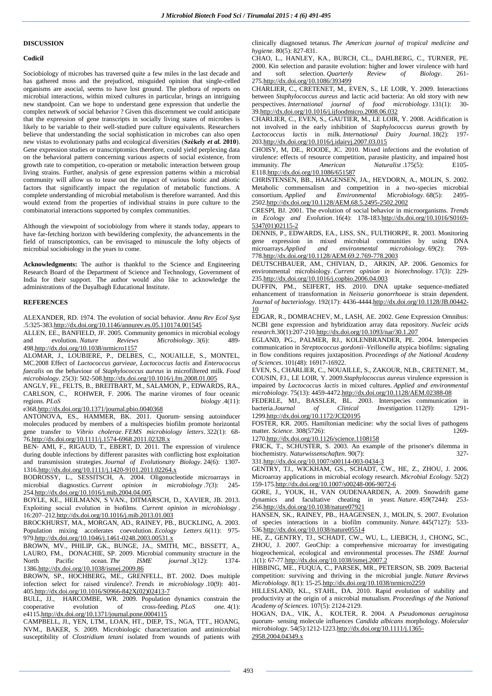## **DISCUSSION**

#### **Codicil**

Sociobiology of microbes has traversed quite a few miles in the last decade and has gathered moss and the prejudiced, misguided opinion that single-celled organisms are asocial, seems to have lost ground. The plethora of reports on microbial interactions, within mixed cultures in particular, brings an intriguing new standpoint. Can we hope to understand gene expression that underlie the complex network of social behavior ? Given this discernment we could anticipate that the expression of gene transcripts in socially living states of microbes is likely to be variable to their well-studied pure culture equivalents. Researchers believe that understanding the social sophistication in microbes can also open new vistas to evolutionary paths and ecological diversities (**Székely** *et al.* **2010**). Gene expression studies or transcriptomics therefore, could yield perplexing data on the behavioral pattern concerning various aspects of social existence, from growth rate to competition, co-operation or metabolic interaction between group living strains. Further, analysis of gene expression patterns within a microbial community will allow us to tease out the impact of various biotic and abiotic factors that significantly impact the regulation of metabolic functions. A complete understanding of microbial metabolism is therefore warranted. And this would extend from the properties of individual strains in pure culture to the combinatorial interactions supported by complex communities.

Although the viewpoint of sociobiology from where it stands today, appears to have far-fetching horizon with bewildering complexity, the advancements in the field of transcriptomics, can be envisaged to minuscule the lofty objects of microbial sociobiology in the years to come.

**Acknowledgments:** The author is thankful to the Science and Engineering Research Board of the Department of Science and Technology, Government of India for their support. The author would also like to acknowledge the administrations of the Dayalbagh Educational Institute.

## **REFERENCES**

ALEXANDER, RD. 1974. The evolution of social behavior. *Annu Rev Ecol Syst*  .5:325-38[3.http://dx.doi.org/10.1146/annurev.es.05.110174.001545](http://dx.doi.org/10.1146/annurev.es.05.110174.001545)

ALLEN, EE., BANFIELD, JF. 2005. Community genomics in microbial ecology and evolution. *Nature Reviews Microbiology*. 3(6): 489- 49[8.http://dx.doi.org/10.1038/nrmicro1157](http://dx.doi.org/10.1038/nrmicro1157)

ALOMAR, J., LOUBIERE, P., DELBES, C., NOUAILLE, S., MONTEL, MC.2008 Effect of *Lactococcus garvieae, Lactococcus lactis* and *Enterococcus faecalis* on the behaviour of *Staphylococcus aureus* in microfiltered milk. *Food microbiology*. 25(3): 502-50[8.http://dx.doi.org/10.1016/j.fm.2008.01.005](http://dx.doi.org/10.1016/j.fm.2008.01.005)

ANGLY, FE., FELTS, B., BREITBART, M., SALAMON, P., EDWARDS, RA., CARLSON, C., ROHWER, F. 2006. The marine viromes of four oceanic regions.  $PLoS$  *biology* .4(11): *biology* .4(11):

e368[.http://dx.doi.org/10.1371/journal.pbio.0040368](http://dx.doi.org/10.1371/journal.pbio.0040368)

ANTONOVA, ES., HAMMER, BK. 2011. Quorum‐ sensing autoinducer molecules produced by members of a multispecies biofilm promote horizontal gene transfer to *Vibrio cholerae*. *FEMS microbiology letters*. 322(1): 68- 7[6.http://dx.doi.org/10.1111/j.1574-6968.2011.02328.x](http://dx.doi.org/10.1111/j.1574-6968.2011.02328.x)

BEN- AMI, F., RIGAUD, T., EBERT, D. 2011. The expression of virulence during double infections by different parasites with conflicting host exploitation and transmission strategies. *Journal of Evolutionary Biology*. 24(6): 1307- 131[6.http://dx.doi.org/10.1111/j.1420-9101.2011.02264.x](http://dx.doi.org/10.1111/j.1420-9101.2011.02264.x)

BODROSSY, L., SESSITSCH, A. 2004. Oligonucleotide microarrays in microbial diagnostics. *Current opinion in microbiology* .7(3): 245- 25[4.http://dx.doi.org/10.1016/j.mib.2004.04.005](http://dx.doi.org/10.1016/j.mib.2004.04.005)

BOYLE, KE., HEILMANN, S VAN., DITMARSCH, D., XAVIER, JB. 2013. Exploiting social evolution in biofilms. *Current opinion in microbiology* . 16:207–21[2.http://dx.doi.org/10.1016/j.mib.2013.01.003](http://dx.doi.org/10.1016/j.mib.2013.01.003)

BROCKHURST, MA., MORGAN, AD., RAINEY, PB., BUCKLING, A. 2003. Population mixing accelerates coevolution. *Ecology Letters* .6(11): 975- 97[9.http://dx.doi.org/10.1046/j.1461-0248.2003.00531.x](http://dx.doi.org/10.1046/j.1461-0248.2003.00531.x)

BROWN, MV., PHILIP, GK., BUNGE, JA., SMITH, MC., BISSETT, A., LAURO, FM., DONACHIE, SP. 2009. Microbial community structure in the North Pacific ocean. *The ISME journal* .3(12): 1374- 138[6.http://dx.doi.org/10.1038/ismej.2009.86](http://dx.doi.org/10.1038/ismej.2009.86)

BROWN, SP., HOCHBERG, ME., GRENFELL, BT. 2002. Does multiple infection select for raised virulence?. *Trends in microbiology* .10(9): 401- 40[5.http://dx.doi.org/10.1016/S0966-842X\(02\)02413-7](http://dx.doi.org/10.1016/S0966-842X(02)02413-7)

BULL, JJ., HARCOMBE, WR. 2009. Population dynamics constrain the cooperative evolution of cross-feeding. *PLoS one.* 4(1): e4115[.http://dx.doi.org/10.1371/journal.pone.0004115](http://dx.doi.org/10.1371/journal.pone.0004115)

CAMPBELL, JI., YEN, LTM., LOAN, HT., DIEP, TS., NGA, TTT., HOANG, NVM., BAKER, S. 2009. Microbiologic characterization and antimicrobial susceptibility of *Clostridium tetani* isolated from wounds of patients with clinically diagnosed tetanus. *The American journal of tropical medicine and hygiene.* 80(5): 827-831.

CHAO, L., HANLEY, KA., BURCH, CL., DAHLBERG, C., TURNER, PE. 2000. Kin selection and parasite evolution: higher and lower virulence with hard and soft selection. Quarterly  $Review of Biology$ . 261and soft selection. *Quarterly Review of Biology*. 261- 27[5.http://dx.doi.org/10.1086/393499](http://dx.doi.org/10.1086/393499)

CHARLIER, C., CRETENET, M., EVEN, S., LE LOIR, Y. 2009. Interactions between *Staphylococcus aureus* and lactic acid bacteria: An old story with new perspectives. *International journal of food microbiology*. 131(1): 30- 3[9.http://dx.doi.org/10.1016/j.ijfoodmicro.2008.06.032](http://dx.doi.org/10.1016/j.ijfoodmicro.2008.06.032)

CHARLIER, C., EVEN, S., GAUTIER, M., LE LOIR, Y. 2008. Acidification is not involved in the early inhibition of *Staphylococcus aureus* growth by *Lactococcus lactis* in milk. *International Dairy Journal*. 18(2): 197- 20[3.http://dx.doi.org/10.1016/j.idairyj.2007.03.015](http://dx.doi.org/10.1016/j.idairyj.2007.03.015)

CHOISY, M, DE., ROODE, JC. 2010. Mixed infections and the evolution of virulence: effects of resource competition, parasite plasticity, and impaired host immunity. *The American Naturalist* .175(5): E105- E11[8.http://dx.doi.org/10.1086/651587](http://dx.doi.org/10.1086/651587)

CHRISTENSEN, BB., HAAGENSEN, JA., HEYDORN, A., MOLIN, S. 2002. Metabolic commensalism and competition in a two-species microbial consortium. *Applied and Environmental Microbiology*. 68(5): 2495- 250[2.http://dx.doi.org/10.1128/AEM.68.5.2495-2502.2002](http://dx.doi.org/10.1128/AEM.68.5.2495-2502.2002)

CRESPI, BJ. 2001. The evolution of social behavior in microorganisms. *Trends in Ecology and Evolution*. 16(4): 178-18[3.http://dx.doi.org/10.1016/S0169-](http://dx.doi.org/10.1016/S0169-5347(01)02115-2) [5347\(01\)02115-2](http://dx.doi.org/10.1016/S0169-5347(01)02115-2)

DENNIS, P., EDWARDS, EA., LISS, SN., FULTHORPE, R. 2003. Monitoring gene expression in mixed microbial communities by using DNA microarrays.*Applied and environmental microbiology*. 69(2): 769- 77[8.http://dx.doi.org/10.1128/AEM.69.2.769-778.2003](http://dx.doi.org/10.1128/AEM.69.2.769-778.2003)

DEUTSCHBAUER, AM., CHIVIAN, D., ARKIN, AP. 2006. Genomics for environmental microbiology. *Current opinion in biotechnology*. 17(3): 229- 23[5.http://dx.doi.org/10.1016/j.copbio.2006.04.003](http://dx.doi.org/10.1016/j.copbio.2006.04.003)

DUFFIN, PM., SEIFERT, HS. 2010. DNA uptake sequence-mediated enhancement of transformation in *Neisseria gonorrhoeae* is strain dependent. *Journal of bacteriology*. 192(17): 4436-444[4.http://dx.doi.org/10.1128/JB.00442-](http://dx.doi.org/10.1128/JB.00442-10) [10](http://dx.doi.org/10.1128/JB.00442-10)

EDGAR, R., DOMRACHEV, M., LASH, AE. 2002. Gene Expression Omnibus: NCBI gene expression and hybridization array data repository. *Nucleic acids research*.30(1):207-21[0.http://dx.doi.org/10.1093/nar/30.1.207](http://dx.doi.org/10.1093/nar/30.1.207)

EGLAND, PG., PALMER, RJ., KOLENBRANDER, PE. 2004. Interspecies communication in *Streptococcus gordonii–Veillonella* atypica biofilms: signaling in flow conditions requires juxtaposition. *Proceedings of the National Academy of Sciences*. 101(48): 16917-16922.

EVEN, S., CHARLIER, C., NOUAILLE, S., ZAKOUR, NLB., CRETENET, M., COUSIN, FJ., LE LOIR, Y. 2009.*Staphylococcus aureus* virulence expression is impaired by *Lactococcus lactis* in mixed cultures. *Applied and environmental microbiology*. 75(13): 4459-447[2.http://dx.doi.org/10.1128/AEM.02388-08](http://dx.doi.org/10.1128/AEM.02388-08)

FEDERLE, MJ., BASSLER, BL. 2003. Interspecies communication in bacteria.*Journal of Clinical Investigation*. 112(9): 1291bacteria.*Journal of Clinical Investigation*. 112(9): 1291- 129[9.http://dx.doi.org/10.1172/JCI20195](http://dx.doi.org/10.1172/JCI20195)

FOSTER, KR. 2005. Hamiltonian medicine: why the social lives of pathogens matter. *Science*. 308(5726): 1269-

127[0.http://dx.doi.org/10.1126/science.1108158](http://dx.doi.org/10.1126/science.1108158)

FRICK, T., SCHUSTER, S. 2003. An example of the prisoner's dilemma in biochemistry. *Naturwissenschaften*. 90(7): 327-

33[1.http://dx.doi.org/10.1007/s00114-003-0434-3](http://dx.doi.org/10.1007/s00114-003-0434-3)

GENTRY, TJ., WICKHAM, GS., SCHADT, CW., HE, Z., ZHOU, J. 2006. Microarray applications in microbial ecology research. *Microbial Ecology*. 52(2) 159-17[5.http://dx.doi.org/10.1007/s00248-006-9072-6](http://dx.doi.org/10.1007/s00248-006-9072-6)

GORE, J., YOUK, H., VAN OUDENAARDEN, A. 2009. Snowdrift game dynamics and facultative cheating in yeast. *Nature*. 459(7244): 253- 25[6.http://dx.doi.org/10.1038/nature07921](http://dx.doi.org/10.1038/nature07921)

HANSEN, SK., RAINEY, PB., HAAGENSEN, J., MOLIN, S. 2007. Evolution of species interactions in a biofilm community. *Nature*. 445(7127): 533- 53[6.http://dx.doi.org/10.1038/nature05514](http://dx.doi.org/10.1038/nature05514)

HE, Z., GENTRY, TJ., SCHADT, CW., WU, L., LIEBICH, J., CHONG, SC., ZHOU, J. 2007. GeoChip: a comprehensive microarray for investigating biogeochemical, ecological and environmental processes. *The ISME Journal*  .1(1): 67-7[7.http://dx.doi.org/10.1038/ismej.2007.2](http://dx.doi.org/10.1038/ismej.2007.2)

HIBBING, ME., FUQUA, C., PARSEK, MR., PETERSON, SB. 2009. Bacterial competition: surviving and thriving in the microbial jungle. *Nature Reviews Microbiology.* 8(1): 15-2[5.http://dx.doi.org/10.1038/nrmicro2259](http://dx.doi.org/10.1038/nrmicro2259)

HILLESLAND, KL., STAHL, DA. 2010. Rapid evolution of stability and productivity at the origin of a microbial mutualism. *Proceedings of the National Academy of Sciences.* 107(5): 2124-2129.

HOGAN, DA., VIK, Å., KOLTER, R. 2004. A *Pseudomonas aeruginosa* quorum‐ sensing molecule influences *Candida albicans* morphology. *Molecular microbiology*. 54(5):1212-122[3.http://dx.doi.org/10.1111/j.1365-](http://dx.doi.org/10.1111/j.1365-2958.2004.04349.x) [2958.2004.04349.x](http://dx.doi.org/10.1111/j.1365-2958.2004.04349.x)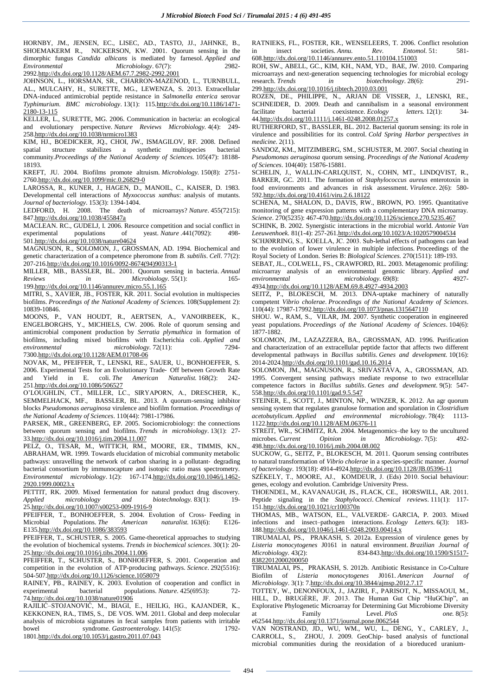HORNBY, JM., JENSEN, EC., LISEC, AD., TASTO, JJ., JAHNKE, B., SHOEMAKERM R., NICKERSON, KW. 2001. Quorum sensing in the dimorphic fungus *Candida albicans* is mediated by farnesol. *Applied and Environmental Microbiology*. 67(7): 2982- 299[2.http://dx.doi.org/10.1128/AEM.67.7.2982-2992.2001](http://dx.doi.org/10.1128/AEM.67.7.2982-2992.2001)

JOHNSON, L., HORSMAN, SR., CHARRON-MAZENOD, L., TURNBULL, AL., MULCAHY, H., SURETTE, MG., LEWENZA, S. 2013. Extracellular DNA-induced antimicrobial peptide resistance in *Salmonella enterica* serovar *Typhimurium*. *BMC microbiology*. 13(1): 11[5.http://dx.doi.org/10.1186/1471-](http://dx.doi.org/10.1186/1471-2180-13-115) [2180-13-115](http://dx.doi.org/10.1186/1471-2180-13-115)

KELLER, L., SURETTE, MG. 2006. Communication in bacteria: an ecological and evolutionary perspective. *Nature Reviews Microbiology.* 4(4): 249- 25[8.http://dx.doi.org/10.1038/nrmicro1383](http://dx.doi.org/10.1038/nrmicro1383)

KIM, HJ., BOEDICKER, JQ., CHOI, JW., ISMAGILOV, RF. 2008. Defined spatial structure stabilizes a synthetic multispecies bacterial community.*Proceedings of the National Academy of Sciences.* 105(47): 18188- 18193.

KREFT, JU. 2004. Biofilms promote altruism. *Microbiology.* 150(8): 2751- 276[0.http://dx.doi.org/10.1099/mic.0.26829-0](http://dx.doi.org/10.1099/mic.0.26829-0)

LAROSSA, R., KUNER, J., HAGEN, D., MANOIL, C., KAISER, D. 1983. Developmental cell interactions of *Myxococcus xanthus*: analysis of mutants. *Journal of bacteriology*. 153(3): 1394-1404.

LEDFORD, H. 2008. The death of microarrays? *Nature*. 455(7215): 84[7.http://dx.doi.org/10.1038/455847a](http://dx.doi.org/10.1038/455847a)

MACLEAN. RC., GUDELJ, I. 2006. Resource competition and social conflict in experimental populations of yeast. *Nature* .441(7092): 498- 50[1.http://dx.doi.org/10.1038/nature04624](http://dx.doi.org/10.1038/nature04624)

MAGNUSON, R., SOLOMON, J., GROSSMAN, AD. 1994. Biochemical and genetic characterization of a competence pheromone from *B. subtilis*. *Cell*. 77(2): 207-21[6.http://dx.doi.org/10.1016/0092-8674\(94\)90313-1](http://dx.doi.org/10.1016/0092-8674(94)90313-1)

MILLER, MB., BASSLER, BL. 2001. Quorum sensing in bacteria. *Annual Reviews in Microbiology.* 55(1): 165-19[9.http://dx.doi.org/10.1146/annurev.micro.55.1.165](http://dx.doi.org/10.1146/annurev.micro.55.1.165)

MITRI, S., XAVIER, JB., FOSTER, KR. 2011. Social evolution in multispecies biofilms. *Proceedings of the National Academy of Sciences.* 108(Supplement 2): 10839-10846.

MOONS, P., VAN HOUDT, R., AERTSEN, A., VANOIRBEEK, K., ENGELBORGHS, Y., MICHIELS, CW. 2006. Role of quorum sensing and antimicrobial component production by *Serratia plymuthica* in formation of biofilms, including mixed biofilms with Escherichia coli. *Applied and environmental microbiology.* 72(11): 7294- 730[0.http://dx.doi.org/10.1128/AEM.01708-06](http://dx.doi.org/10.1128/AEM.01708-06)

NOVAK, M., PFEIFFER, T., LENSKI, RE., SAUER, U., BONHOEFFER, S. 2006. Experimental Tests for an Evolutionary Trade‐ Off between Growth Rate and Yield in E. coli. *The American Naturalist.* 168(2): 242- 25[1.http://dx.doi.org/10.1086/506527](http://dx.doi.org/10.1086/506527)

O'LOUGHLIN, CT., MILLER, LC., SIRYAPORN, A., DRESCHER, K., SEMMELHACK, MF., BASSLER, BL. 2013. A quorum-sensing inhibitor blocks *Pseudomonas aeruginosa* virulence and biofilm formation. *Proceedings of the National Academy of Sciences*. 110(44): 7981-17986.

PARSEK, MR., GREENBERG, EP. 2005. Sociomicrobiology: the connections between quorum sensing and biofilms. *Trends in microbiology*. 13(1): 27- 3[3.http://dx.doi.org/10.1016/j.tim.2004.11.007](http://dx.doi.org/10.1016/j.tim.2004.11.007)

PELZ, O., TESAR, M., WITTICH, RM., MOORE, ER., TIMMIS, KN., ABRAHAM, WR. 1999. Towards elucidation of microbial community metabolic pathways: unravelling the network of carbon sharing in a pollutant- degrading bacterial consortium by immunocapture and isotopic ratio mass spectrometry. *Environmental microbiology*. 1(2): 167-17[4.http://dx.doi.org/10.1046/j.1462-](http://dx.doi.org/10.1046/j.1462-2920.1999.00023.x) [2920.1999.00023.x](http://dx.doi.org/10.1046/j.1462-2920.1999.00023.x)

PETTIT, RK. 2009. Mixed fermentation for natural product drug discovery. *Applied microbiology and biotechnology.* 83(1): 19- 2[5.http://dx.doi.org/10.1007/s00253-009-1916-9](http://dx.doi.org/10.1007/s00253-009-1916-9)

PFEIFFER, T., BONHOEFFER, S. 2004. Evolution of Cross- Feeding in Microbial Populations. The American naturalist. 163(6): E126*naturalist.* 163(6): E13[5.http://dx.doi.org/10.1086/383593](http://dx.doi.org/10.1086/383593)

PFEIFFER, T., SCHUSTER, S. 2005. Game-theoretical approaches to studying the evolution of biochemical systems. *Trends in biochemical sciences*. 30(1): 20- 2[5.http://dx.doi.org/10.1016/j.tibs.2004.11.006](http://dx.doi.org/10.1016/j.tibs.2004.11.006)

PFEIFFER, T., SCHUSTER, S., BONHOEFFER, S. 2001. Cooperation and competition in the evolution of ATP-producing pathways. *Science*. 292(5516): 504-50[7.http://dx.doi.org/10.1126/science.1058079](http://dx.doi.org/10.1126/science.1058079)

RAINEY, PB., RAINEY, K. 2003. Evolution of cooperation and conflict in experimental bacterial populations. *Nature*. 425(6953): 72- 7[4.http://dx.doi.org/10.1038/nature01906](http://dx.doi.org/10.1038/nature01906)

RAJILIĆ–STOJANOVIĆ, M., BIAGI, E., HEILIG, HG., KAJANDER, K., KEKKONEN, RA., TIMS, S., DE VOS. WM. 2011. Global and deep molecular analysis of microbiota signatures in fecal samples from patients with irritable<br>bowel syndrome. Gastroenterology. 141(5): 1792syndrome. *Gastroenterology*. 141(5): 180[1.http://dx.doi.org/10.1053/j.gastro.2011.07.043](http://dx.doi.org/10.1053/j.gastro.2011.07.043)

RATNIEKS, FL., FOSTER, KR., WENSELEERS, T. 2006. Conflict resolution<br>in insect societies. Annu. Rev. Entomol. 51: 581in insect societies. *Annu. Rev. Entomol.* 51: 581- 60[8.http://dx.doi.org/10.1146/annurev.ento.51.110104.151003](http://dx.doi.org/10.1146/annurev.ento.51.110104.151003)

ROH, SW., ABELL, GC., KIM, KH., NAM, YD., BAE, JW. 2010. Comparing microarrays and next-generation sequencing technologies for microbial ecology research. *Trends in biotechnology*. 28(6): 291- 29[9.http://dx.doi.org/10.1016/j.tibtech.2010.03.001](http://dx.doi.org/10.1016/j.tibtech.2010.03.001)

ROZEN, DE., PHILIPPE, N., ARJAN DE VISSER, J., LENSKI, RE., SCHNEIDER, D. 2009. Death and cannibalism in a seasonal environment facilitate bacterial coexistence. *Ecology letters.* 12(1): 34- 4[4.http://dx.doi.org/10.1111/j.1461-0248.2008.01257.x](http://dx.doi.org/10.1111/j.1461-0248.2008.01257.x)

RUTHERFORD, ST., BASSLER, BL. 2012. Bacterial quorum sensing: its role in virulence and possibilities for its control. *Cold Spring Harbor perspectives in medicine*. 2(11).

SANDOZ, KM., MITZIMBERG, SM., SCHUSTER, M. 2007. Social cheating in *Pseudomonas aeruginosa* quorum sensing. *Proceedings of the National Academy of Sciences*. 104(40): 15876-15881.

SCHELIN, J., WALLIN-CARLQUIST, N., COHN, MT., LINDQVIST, R., BARKER, GC. 2011. The formation of *Staphylococcus aureus* enterotoxin in food environments and advances in risk assessment. *Virulence*. 2(6): 580- 59[2.http://dx.doi.org/10.4161/viru.2.6.18122](http://dx.doi.org/10.4161/viru.2.6.18122)

SCHENA, M., SHALON, D., DAVIS, RW., BROWN, PO. 1995. Quantitative monitoring of gene expression patterns with a complementary DNA microarray. *Science*. 270(5235): 467-47[0.http://dx.doi.org/10.1126/science.270.5235.467](http://dx.doi.org/10.1126/science.270.5235.467)

SCHINK, B. 2002. Synergistic interactions in the microbial world. *Antonie Van Leeuwenhoek.* 81(1-4): 257-26[1.http://dx.doi.org/10.1023/A:1020579004534](http://dx.doi.org/10.1023/A:1020579004534)

SCHJØRRING, S., KOELLA, JC. 2003. Sub-lethal effects of pathogens can lead to the evolution of lower virulence in multiple infections. Proceedings of the Royal Society of London. Series B: *Biological Sciences.* 270(1511): 189-193.

SEBAT, JL., COLWELL, FS., CRAWFORD, RL. 2003. Metagenomic profiling: microarray analysis of an environmental genomic library. *Applied and environmental microbiology.* 69(8):

493[4.http://dx.doi.org/10.1128/AEM.69.8.4927-4934.2003](http://dx.doi.org/10.1128/AEM.69.8.4927-4934.2003)

SEITZ, P., BLOKESCH, M. 2013. DNA-uptake machinery of naturally competent *Vibrio cholerae*. *Proceedings of the National Academy of Sciences*. 110(44): 17987-1799[2.http://dx.doi.org/10.1073/pnas.1315647110](http://dx.doi.org/10.1073/pnas.1315647110)

SHOU. W., RAM, S., VILAR, JM. 2007. Synthetic cooperation in engineered yeast populations. *Proceedings of the National Academy of Sciences*. 104(6): 1877-1882.

SOLOMON, JM., LAZAZZERA, BA., GROSSMAN, AD. 1996. Purification and characterization of an extracellular peptide factor that affects two different developmental pathways in *Bacillus subtilis*. *Genes and development.* 10(16): 2014-202[4.http://dx.doi.org/10.1101/gad.10.16.2014](http://dx.doi.org/10.1101/gad.10.16.2014)

SOLOMON, JM., MAGNUSON, R., SRIVASTAVA, A., GROSSMAN, AD. 1995. Convergent sensing pathways mediate response to two extracellular competence factors in *Bacillus subtilis*. *Genes and development.* 9(5): 547- 55[8.http://dx.doi.org/10.1101/gad.9.5.547](http://dx.doi.org/10.1101/gad.9.5.547)

STEINER, E., SCOTT, J., MINTON, NP., WINZER, K. 2012. An agr quorum sensing system that regulates granulose formation and sporulation in *Clostridium acetobutylicum*. *Applied and environmental microbiology*. 78(4): 1113- 112[2.http://dx.doi.org/10.1128/AEM.06376-11](http://dx.doi.org/10.1128/AEM.06376-11)

STREIT, WR., SCHMITZ, RA. 2004. Metagenomics–the key to the uncultured microbes. Current Opinion in Microbiology. 7(5): 492- $Microbiology. 7(5):$ 49[8.http://dx.doi.org/10.1016/j.mib.2004.08.002](http://dx.doi.org/10.1016/j.mib.2004.08.002)

SUCKOW, G., SEITZ, P., BLOKESCH, M. 2011. Quorum sensing contributes to natural transformation of *Vibrio cholerae* in a species-specific manner. *Journal of bacteriology*. 193(18): 4914-492[4.http://dx.doi.org/10.1128/JB.05396-11](http://dx.doi.org/10.1128/JB.05396-11)

SZÉKELY, T., MOORE, AJ., KOMDEUR, J. (Eds) 2010. Social behaviour: genes, ecology and evolution. Cambridge University Press.

THOENDEL, M., KAVANAUGH, JS., FLACK, CE., HORSWILL, AR. 2011. Peptide signaling in the *Staphylococci*. *Chemical reviews*. 111(1): 117- 15[1.http://dx.doi.org/10.1021/cr100370n](http://dx.doi.org/10.1021/cr100370n)

THOMAS, MB., WATSON, EL., VALVERDE‐ GARCIA, P. 2003. Mixed infections and insect–pathogen interactions. *Ecology Letters.* 6(3): 183- 18[8.http://dx.doi.org/10.1046/j.1461-0248.2003.00414.x](http://dx.doi.org/10.1046/j.1461-0248.2003.00414.x)

TIRUMALAI, PS., PRAKASH, S. 2012a. Expression of virulence genes by *Listeria monocytogenes* J0161 in natural environment. *Brazilian Journal of Microbiology.* 43(2): 834-84[3.http://dx.doi.org/10.1590/S1517-](http://dx.doi.org/10.1590/S1517-83822012000200050) [83822012000200050](http://dx.doi.org/10.1590/S1517-83822012000200050)

TIRUMALAI, PS., PRAKASH, S. 2012b. Antibiotic Resistance in Co-Culture Biofilm of *Listeria monocytogenes* J0161. *American Microbiology*. 3(1): [7.http://dx.doi.org/10.3844/ajmsp.2012.7.17](http://dx.doi.org/10.3844/ajmsp.2012.7.17)

TOTTEY, W., DENONFOUX, J., JAZIRI, F., PARISOT, N., MISSAOUI, M., HILL, D., BRUGÈRE, JF. 2013. The Human Gut Chip "HuGChip", an Explorative Phylogenetic Microarray for Determining Gut Microbiome Diversity at Family Level. *PloS one.* 8(5): e6254[4.http://dx.doi.org/10.1371/journal.pone.0062544](http://dx.doi.org/10.1371/journal.pone.0062544)

VAN NOSTRAND, JD., WU, WM., WU, L., DENG, Y., CARLEY, J., CARROLL, S., ZHOU, J. 2009. GeoChip‐ based analysis of functional microbial communities during the reoxidation of a bioreduced uranium‐